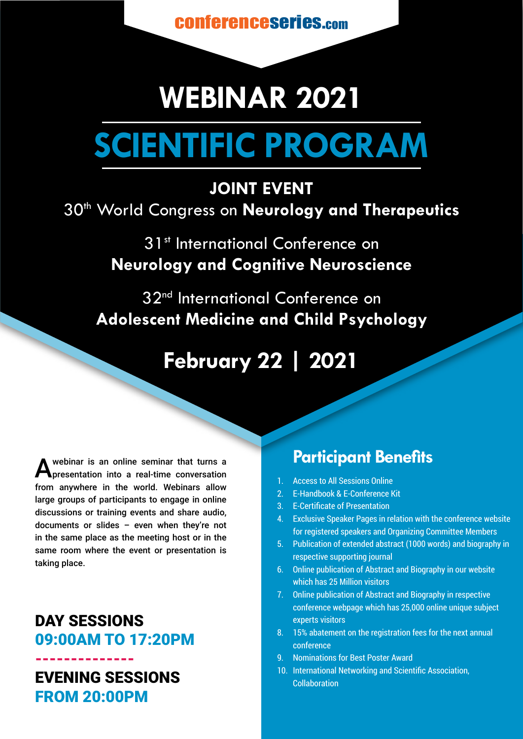conferenceseries.com

# **WEBINAR 2021 SCIENTIFIC PROGRAM**

#### **JOINT EVENT**

## 30th World Congress on **Neurology and Therapeutics**

31<sup>st</sup> International Conference on **Neurology and Cognitive Neuroscience**

32<sup>nd</sup> International Conference on **Adolescent Medicine and Child Psychology**

## **February 22 | 2021**

A webinar is an online seminar that turns a<br>**A** presentation into a real-time conversation from anywhere in the world. Webinars allow large groups of participants to engage in online discussions or training events and share audio, documents or slides – even when they're not in the same place as the meeting host or in the same room where the event or presentation is taking place.

#### DAY SESSIONS 09:00AM TO 17:20PM

-------------- EVENING SESSIONS FROM 20:00PM

### **Participant Benefits**

- 1. Access to All Sessions Online
- 2. E-Handbook & E-Conference Kit
- 3. E-Certificate of Presentation
- 4. Exclusive Speaker Pages in relation with the conference website for registered speakers and Organizing Committee Members
- 5. Publication of extended abstract (1000 words) and biography in respective supporting journal
- 6. Online publication of Abstract and Biography in our website which has 25 Million visitors
- 7. Online publication of Abstract and Biography in respective conference webpage which has 25,000 online unique subject experts visitors
- 8. 15% abatement on the registration fees for the next annual conference
- 9. Nominations for Best Poster Award
- 10. International Networking and Scientific Association, Collaboration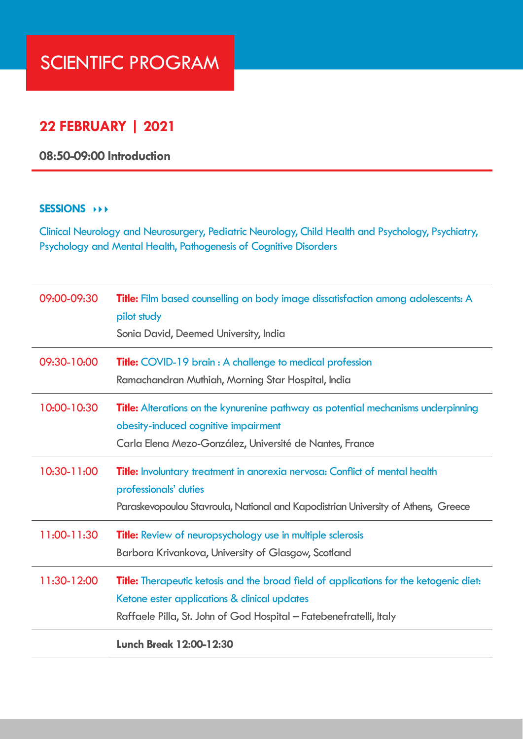# SCIENTIFC PROGRAM

#### **22 FEBRUARY | 2021**

#### **08:50-09:00 Introduction**

#### **SESSIONS**

Clinical Neurology and Neurosurgery, Pediatric Neurology, Child Health and Psychology, Psychiatry, Psychology and Mental Health, Pathogenesis of Cognitive Disorders

| 09:00-09:30 | <b>Title:</b> Film based counselling on body image dissatisfaction among adolescents: A<br>pilot study<br>Sonia David, Deemed University, India                                                                     |
|-------------|---------------------------------------------------------------------------------------------------------------------------------------------------------------------------------------------------------------------|
| 09:30-10:00 | <b>Title:</b> COVID-19 brain : A challenge to medical profession<br>Ramachandran Muthiah, Morning Star Hospital, India                                                                                              |
| 10:00-10:30 | <b>Title:</b> Alterations on the kynurenine pathway as potential mechanisms underpinning<br>obesity-induced cognitive impairment<br>Carla Elena Mezo-González, Université de Nantes, France                         |
| 10:30-11:00 | Title: Involuntary treatment in anorexia nervosa: Conflict of mental health<br>professionals' duties<br>Paraskevopoulou Stavroula, National and Kapodistrian University of Athens, Greece                           |
| 11:00-11:30 | <b>Title:</b> Review of neuropsychology use in multiple sclerosis<br>Barbora Krivankova, University of Glasgow, Scotland                                                                                            |
| 11:30-12:00 | <b>Title:</b> Therapeutic ketosis and the broad field of applications for the ketogenic diet:<br>Ketone ester applications & clinical updates<br>Raffaele Pilla, St. John of God Hospital - Fatebenefratelli, Italy |
|             | <b>Lunch Break 12:00-12:30</b>                                                                                                                                                                                      |